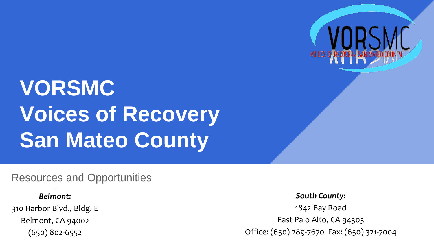

# **VORSMC Voices of Recovery San Mateo County**

#### Resources and Opportunities

#### *Belmont:*

310 Harbor Blvd., Bldg. E Belmont, CA 94002 (650) 802-6552

*South County:* 1842 Bay Road East Palo Alto, CA 94303 Office: (650) 289-7670 Fax: (650) 321-7004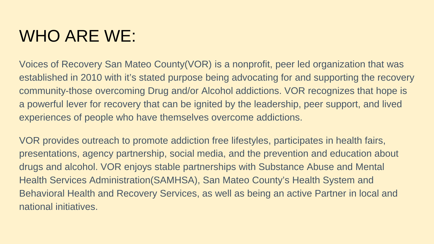### WHO ARE WE:

Voices of Recovery San Mateo County(VOR) is a nonprofit, peer led organization that was established in 2010 with it's stated purpose being advocating for and supporting the recovery community-those overcoming Drug and/or Alcohol addictions. VOR recognizes that hope is a powerful lever for recovery that can be ignited by the leadership, peer support, and lived experiences of people who have themselves overcome addictions.

VOR provides outreach to promote addiction free lifestyles, participates in health fairs, presentations, agency partnership, social media, and the prevention and education about drugs and alcohol. VOR enjoys stable partnerships with Substance Abuse and Mental Health Services Administration(SAMHSA), San Mateo County's Health System and Behavioral Health and Recovery Services, as well as being an active Partner in local and national initiatives.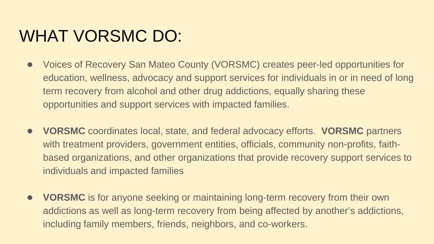### WHAT VORSMC DO:

- Voices of Recovery San Mateo County (VORSMC) creates peer-led opportunities for education, wellness, advocacy and support services for individuals in or in need of long term recovery from alcohol and other drug addictions, equally sharing these opportunities and support services with impacted families.
- **VORSMC** coordinates local, state, and federal advocacy efforts. **VORSMC** partners with treatment providers, government entities, officials, community non-profits, faithbased organizations, and other organizations that provide recovery support services to individuals and impacted families
- **VORSMC** is for anyone seeking or maintaining long-term recovery from their own addictions as well as long-term recovery from being affected by another's addictions, including family members, friends, neighbors, and co-workers.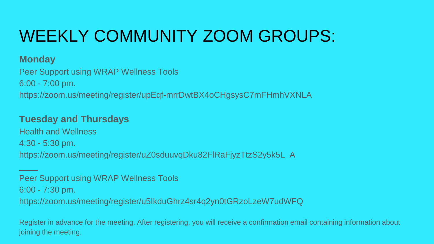## WEEKLY COMMUNITY ZOOM GROUPS:

#### **Monday**

\_\_\_\_

Peer Support using WRAP Wellness Tools 6:00 - 7:00 pm. https://zoom.us/meeting/register/upEqf-mrrDwtBX4oCHgsysC7mFHmhVXNLA

#### **Tuesday and Thursdays**

Health and Wellness 4:30 - 5:30 pm. https://zoom.us/meeting/register/uZ0sduuvqDku82FlRaFjyzTtzS2y5k5L\_A

Peer Support using WRAP Wellness Tools 6:00 - 7:30 pm. https://zoom.us/meeting/register/u5IkduGhrz4sr4q2yn0tGRzoLzeW7udWFQ

Register in advance for the meeting. After registering, you will receive a confirmation email containing information about joining the meeting.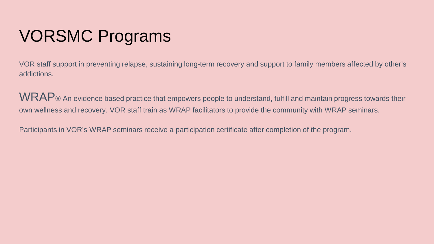## VORSMC Programs

VOR staff support in preventing relapse, sustaining long-term recovery and support to family members affected by other's addictions.

WRAP® An evidence based practice that empowers people to understand, fulfill and maintain progress towards their own wellness and recovery. VOR staff train as WRAP facilitators to provide the community with WRAP seminars.

Participants in VOR's WRAP seminars receive a participation certificate after completion of the program.